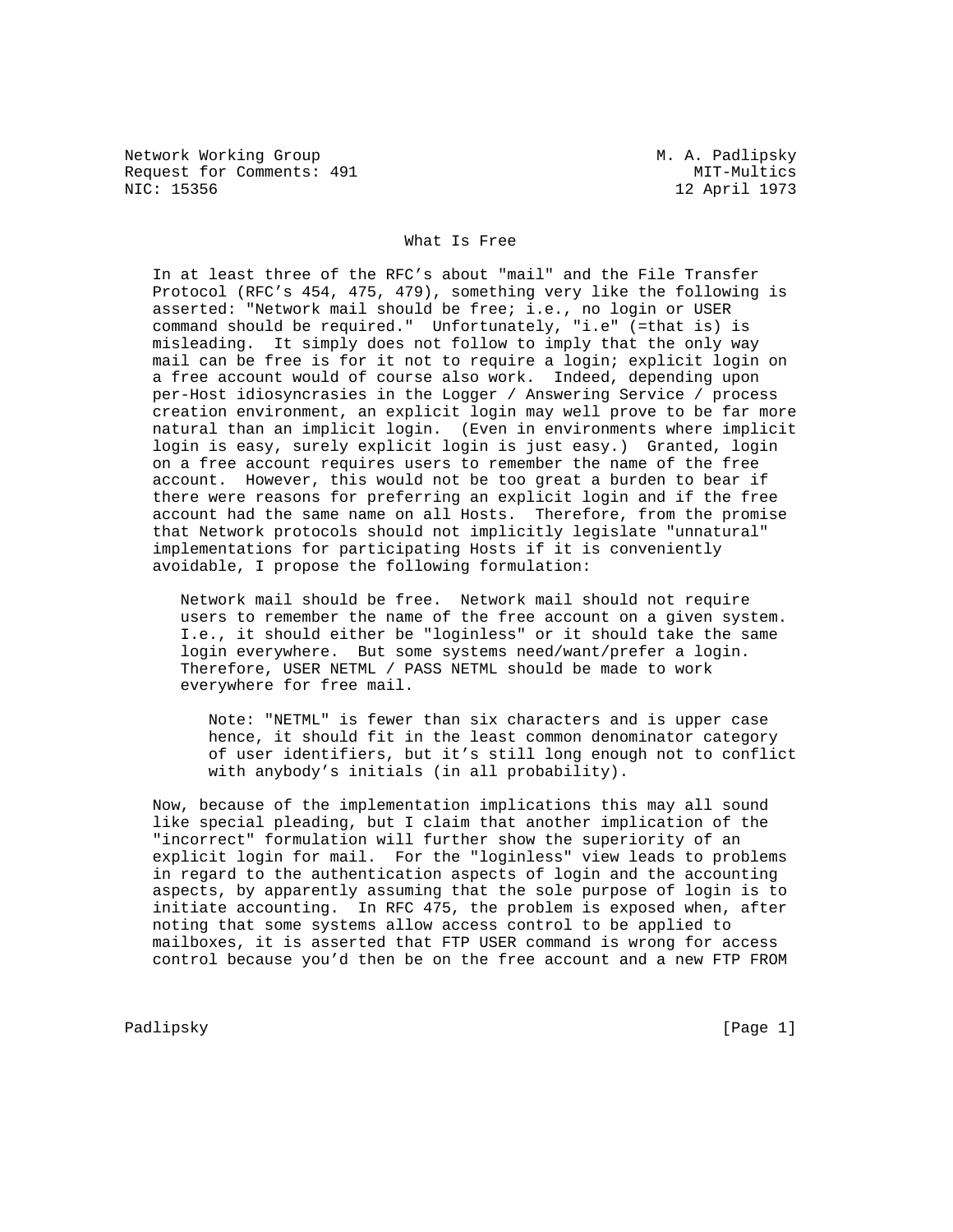Network Working Group Metwork Working Group Metwork Metwork Metalson Request for Comments: 491 MIT-Multics<br>NIC: 15356 12 April 1973

12 April 1973

## What Is Free

 In at least three of the RFC's about "mail" and the File Transfer Protocol (RFC's 454, 475, 479), something very like the following is asserted: "Network mail should be free; i.e., no login or USER command should be required." Unfortunately, "i.e" (=that is) is misleading. It simply does not follow to imply that the only way mail can be free is for it not to require a login; explicit login on a free account would of course also work. Indeed, depending upon per-Host idiosyncrasies in the Logger / Answering Service / process creation environment, an explicit login may well prove to be far more natural than an implicit login. (Even in environments where implicit login is easy, surely explicit login is just easy.) Granted, login on a free account requires users to remember the name of the free account. However, this would not be too great a burden to bear if there were reasons for preferring an explicit login and if the free account had the same name on all Hosts. Therefore, from the promise that Network protocols should not implicitly legislate "unnatural" implementations for participating Hosts if it is conveniently avoidable, I propose the following formulation:

 Network mail should be free. Network mail should not require users to remember the name of the free account on a given system. I.e., it should either be "loginless" or it should take the same login everywhere. But some systems need/want/prefer a login. Therefore, USER NETML / PASS NETML should be made to work everywhere for free mail.

 Note: "NETML" is fewer than six characters and is upper case hence, it should fit in the least common denominator category of user identifiers, but it's still long enough not to conflict with anybody's initials (in all probability).

 Now, because of the implementation implications this may all sound like special pleading, but I claim that another implication of the "incorrect" formulation will further show the superiority of an explicit login for mail. For the "loginless" view leads to problems in regard to the authentication aspects of login and the accounting aspects, by apparently assuming that the sole purpose of login is to initiate accounting. In RFC 475, the problem is exposed when, after noting that some systems allow access control to be applied to mailboxes, it is asserted that FTP USER command is wrong for access control because you'd then be on the free account and a new FTP FROM

Padlipsky [Page 1]